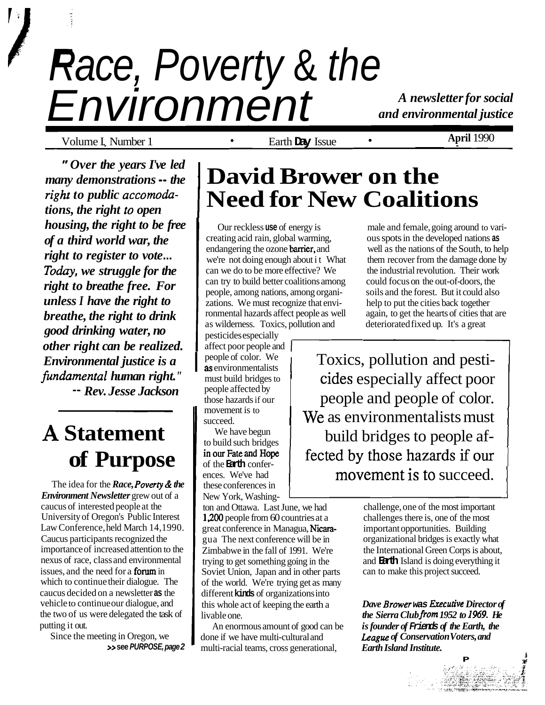# **7;** Race, Poverty & the Environmental *Justice*

*and environmental justice* 

Volume I. Number 1 **a April 1990 C April 1990 April 1990** 

" *Over the years I've led*  right to public accomoda*housing, the right to be free of a third world war, the right to register to vote* ... *Today, we struggle for the right to breathe free. For unless I have the right to breathe, the right to drink good drinking water, no other right can be realized. Environmental justice is a fwrdamental human right."* 

-- *Rev. Jesse Jackson* 

## **A Statement of Purpose**

The idea for the *Race, Poverly* & *the Environment Newsletter* grew out of a caucus of interested people at the University of Oregon's Public Interest Law Conference, held March 14,1990. Caucus participants recognized the importance of increased attention to the nexus of race, class and environmental issues, and the need for a forum in which to continue their dialogue. The caucus decided on a newsletter **as** the vehicle to continue our dialogue, and the two of us were delegated the task of putting it out.

Since the meeting in Oregon, we >> **see PURPOSE, page 2** 

## **David Brower on the** *tight to public accomoda* | **Need for New Coalitions**

1 Our reckless **use** of energy is creating acid rain, global warming, endangering the ozone barrier, and we're not doing enough about it What can we do to be more effective? We can try to build better coalitions among people, among nations, among organizations. We must recognize that environmental hazards affect people as well as wilderness. Toxics, pollution and **David Brower on the environmental<br>
David Brower on the<br>
Need for New Coalitions<br>
our cekless use of energy is male and female going aroum<br>
ceating acid rain, global warming.<br>
conservating and female going aroum<br>
endangeri** 

pesticides especially people of color. We<br>as environmentalists must build bridges to people affected by those hazards if our movement is to

We have begun in our Fate and Hope<br>of the **Earth** confer-<br>ences. We've had these conferences in

New York, Washing-<br>ton and Ottawa. Last June, we had ton and Ottawa. Last June, we had challenge, one of the most important 1,200 people from 60 countries at a challenges there is, one of the most great conference in Managua, Nicaragua The next conference will be in organizational bridges is exactly what<br>Zimbabwe in the fall of 1991. We're the International Green Corps is about trying to get something going in the and **Earth** Island is doing everything it<br>Soviet Union, Japan and in other parts can to make this project succeed. Soviet Union, Japan and in other parts of the world. We're trying get as many different **kinds** of organizations into

done if we have multi-cultural and *kague of Conservation Voters, and* multi-racial teams, cross generational. *Karth Island Institute.* multi-racial teams, cross generational,

male and female, going around to various spots in the developed nations **as**  well as the nations of the South, to help them recover from the damage done by the industrial revolution. Their work could focus on the out-of-doors, the soils and the forest. But it could also help to put the cities back together again, to get the hearts of cities that are deteriorated fixed up. It's a great

Toxics, pollution and pesticides especially affect poor people and people of color.  $\mathbb{S}^{\text{novement is to}}$  We as environmentalists must We have begun<br>to build such bridges build bridges to people af-<br>in our Fate and Hope fected by those hazards if our movement is to succeed.

> challenges there is, one of the most<br>important opportunities. Building the International Green Corps is about,

this whole act of keeping the earth a *Dave Brower* **was** *Execuh've Director of*  livable one. *the Sierra Club from 1952 to 1969. He*  An enormous amount of good can be *is founder of* **Friends** *of the Earth, the* 

**P** 

**I**  % **S**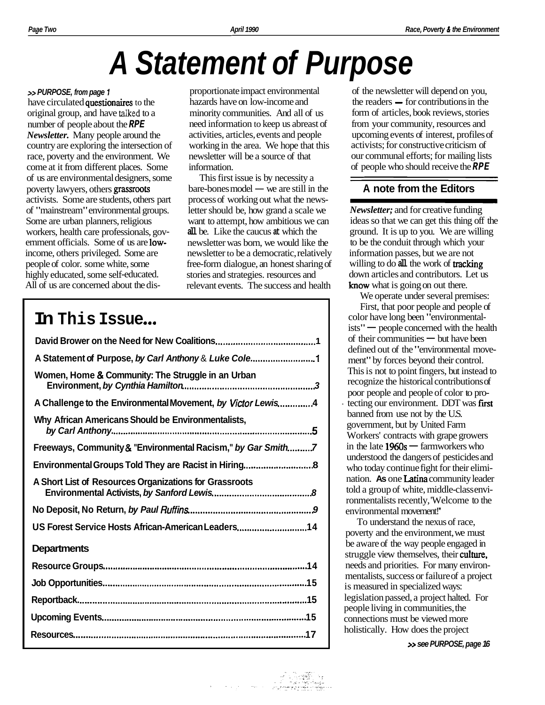## **A Statement of Purpose**

#### >> **PURPOSE, from page** 1

have circulated questionaires to the original group, and have **talked** to a number of people about the **RPE**  *Newsletter.* Many people around the country are exploring the intersection of race, poverty and the environment. We come at it from different places. Some of us are environmental designers, some poverty lawyers, others grassroots activists. Some are students, others part of "mainstream" environmental groups. Some are urban planners, religious workers, health care professionals, government officials. Some of us are lowincome, others privileged. Some are people of color. some white, some highly educated, some self-educated. All of us are concerned about the disproportionate impact environmental hazards have on low-income and minority communities. And all of us need information to keep us abreast of activities, articles, events and people working in the area. We hope that this newsletter will be a source of that information.

This first issue is by necessity a bare-bones model — we are still in the process of working out what the newsletter should be, how grand a scale we want to attempt, how ambitious we can **all** be. Like the caucus **at** which the newsletter was born, we would like the newsletter to be a democratic, relatively free-form dialogue, an honest sharing of stories and strategies. resources and relevant events. The success and health

### **In This Issue** ...

| A Statement of Purpose, by Carl Anthony & Luke Cole1        |
|-------------------------------------------------------------|
| Women, Home & Community: The Struggle in an Urban           |
| A Challenge to the Environmental Movement, by Victor Lewis4 |
| Why African Americans Should be Environmentalists,          |
| Freeways, Community & "Environmental Racism," by Gar Smith7 |
|                                                             |
| A Short List of Resources Organizations for Grassroots      |
|                                                             |
| US Forest Service Hosts African-American Leaders14          |
| <b>Departments</b>                                          |
|                                                             |
|                                                             |
|                                                             |
|                                                             |
|                                                             |

of the newsletter will depend on you, the readers  $-$  for contributions in the form of articles, book reviews, stories from your community, resources and upcoming events of interest, profiles of activists; for constructive criticism of our communal efforts; for mailing lists of people who should receive the **RPE** 

#### **A note from the Editors**

*Newsletter;* and for creative funding ideas so that we can get this thing off the ground. It is up to you. We are willing to be the conduit through which your information passes, but we are not willing to do **all** the work of tracking down articles and contributors. Let us know what is going on out there.

We operate under several premises:

First, that poor people and people of color have long been "environmental-First, that poor people and people of<br>color have long been "environmental-<br>ists" — people concerned with the health<br>of their communities — but have been color have long been "environmental-<br>ists" — people concerned with the hea<br>of their communities — but have been<br>defined out of the l'universemental may % of their communities  $-$  but have been<br>defined out of the "environmental movement" by forces beyond their control. This is not to point fingers, but instead to recognize the historical contributions of poor people and people of color to pro tecting our environment. DDT was first banned from use not by the U.S. government, but by United Farm Workers' contracts with grape growers government, but by United Farm<br>Workers' contracts with grape grower<br>in the late 1960s — farmworkers who<br>wedgeted the denoming function of understood the dangers of pesticides and who today continue fight for their elimination. **As** one Latina community leader told a group of white, middle-class environmentalists recently, 'Welcome to the environmental movement!''

To understand the nexus of race, poverty and the environment, we must be aware of the way people engaged in struggle view themselves, their culture. needs and priorities. For many environmentalists, success or failure of a project is measured in specialized ways: legislation passed, a project halted. For people living in communities, the connections must be viewed more holistically. How does the project

>> **see PURPOSE, page 16**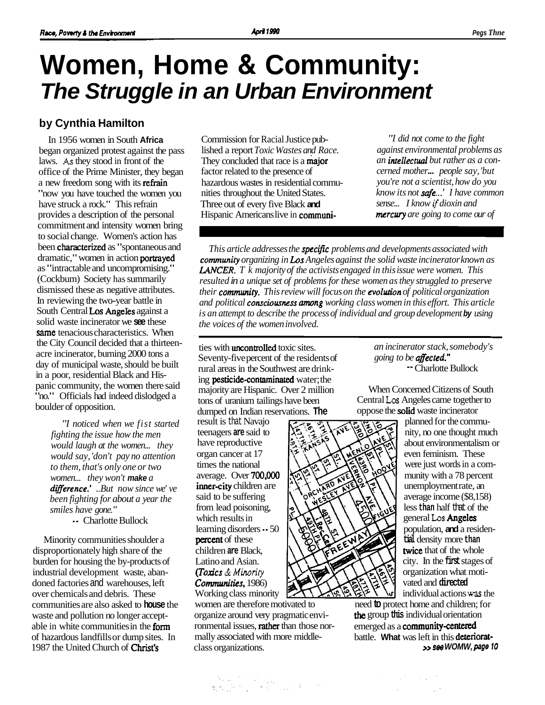## **Women, Home** & **Community: The Struggle in an Urban Environment**

#### **by Cynthia Hamilton**

In 1956 women in South **Africa**  began organized protest against the pass laws. **As** they stood in front of the office of the Prime Minister, they began a new freedom song with its reFrain "now you have touched the women you have struck a rock." This refrain provides a description of the personal commitment and intensity women bring to social change. Women's action has been characterized as "spontaneous and dramatic," women in action portrayed as "intractable and uncompromising." (Cockbum) Society has summarily dismissed these as negative attributes. In reviewing the two-year battle in South Central Los Angeles against a solid waste incinerator we **see** these same tenacious characteristics. When the City Council decided that a thirteenacre incinerator, burning 2000 tons a day of municipal waste, should be built in a poor, residential Black and Hispanic community, the women there said "no." Officials had indeed dislodged a boulder of opposition.

*"I noticed when we fist started fighting the issue how the men would laugh at the women... they would say, 'don't pay no attention to them, that's only one or two women... they won't* **make** *a difference.' ..But now since we' ve been fighting for about a year the smiles have gone."* 

-- Charlotte Bullock

Minority communities shoulder a disproportionately high share of the burden for housing the by-products of industrial development waste, abandoned factories and warehouses, left over chemicals and debris. These communities are also asked to **house** the waste and pollution no longer acceptable in white communities in the form of hazardous landfills or dump sites. In 1987 the United Church of Christ's

Commission for Racial Justice published a report *Toxic Wastes and Race.*  They concluded that race is a major factor related to the presence of hazardous wastes in residential communities throughout the United States. Three out of every five Black **and**  Hispanic Americans live in **communi-**

*"I did not come to the fight against environmental problems as*  an *intellectual* but rather as a con*cerned mother* ... *people say, 'but you're not a scientist, how do you know its not sofe* ...' *I have common sense... I know* **if** *dioxin and mercury are going to come our of* 

*This article addresses the specific problems and developments associated with communiry organizing in Los Angeles against the solid waste incinerator known as*  **LANCER.** T k majority of the activists engaged in this issue were women. This *resulted in a unique set of problems for these women as they struggled to preserve*  their **community**. This review will focus on the **evolution** of political organization and political **consciousness among** working class women in this effort. This article *is an attempt to describe the process of individual and group development* **by** *using the voices of the women involved.* 

ties with uncontrolled toxic sites. Seventy-five percent of the residents of rural areas in the Southwest are drinking **pesticide-contaminated** water; the majority are Hispanic. Over 2 million tons of uranium tailings have been dumped on Indian reservations. **The** 

result is that Navajo teenagers **are** said to have reproductive organ cancer at 17 times the national average. Over 700,000 **inner-city** children are said to be suffering from lead poisoning, which results in learning disorders -- 50 percent of these children **are** Black, Latino and Asian. *(Toxics & Minority Communities,* 1986) Working class minority

women are therefore motivated to organize around very pragmatic environmental issues, rather than those normally associated with more middleclass organizations.

*an incinerator stack, somebody's going to be affected."* -- Charlotte Bullock

When Concerned Citizens of South Central **Los** Angeles came together to oppose the solid waste incinerator

> planned for the community, no one thought much about environmentalism or even feminism. These were just words in a community with a 78 percent unemployment rate, an average income (\$8,158) less **than** half that of the general **Los** Angeles population, **and** a residen**tial** density more **than**  twice that of the whole city. In the **first** stages of organization what motivated and **directed**  individual actions was the

need **to** protect home and children; for **the** group **this** individual orientation emerged as a community-centered battle. **What** was left in this deteriorat-  $\rightarrow$  **>> see WOMW, page 10** 

 $\sim 10$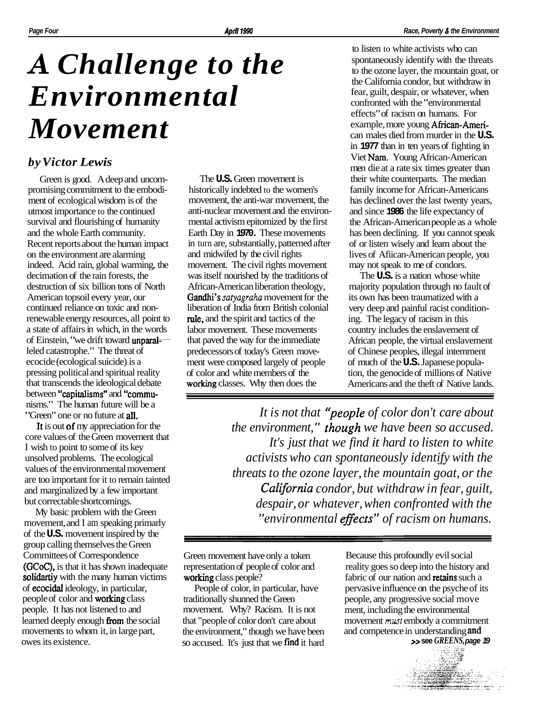## **A** *Challenge to the Environmental Movement*

#### *by Victor Lewis*

Green is good. A deep and uncompromising commitment to the embodiment of ecological wisdom is of the utmost importance to the continued survival and flourishing of humanity and the whole Earth community. Recent reports about the human impact on the environment are alarming indeed. Acid rain, global warming, the decimation of the rain forests, the destruction of six billion tons of North American topsoil every year, our continued reliance on toxic and nonrenewable energy resources, all point to a state of affairs in which, in the words of Einstein, "we drift toward unparalleled catastrophe." The threat of ecocide (ecological suicide) is a pressing political and spiritual reality that transcends the ideological debate between "capitalisms" and "communisms." The human future will be a<br>"Green" one or no future at **all**.

core values of the Green movement that I wish to point to some of its key unsolved problems. The ecological values of the environmental movement are too important for it to remain tainted and marginalized by a few important but correctable shortcomings.

My basic problem with the Green movement, and I am speaking primarly of the **U.S.** movement inspired by the group calling themselves the Green Committees of Correspondence (GCoC), is that it has shown inadequate solidartiy with the many human victims of ecocidal ideology, in particular, people of color and working class people. It has not listened to and learned deeply enough from the social movements to whom it, in large part, owes its existence.

The **U.S.** Green movement is historically indebted to the women's movement, the anti-war movement, the anti-nuclear movement and the environmental activism epitomized by the first Earth Day in **1970.** These movements in turn are, substantially, patterned after and midwifed by the civil rights movement. The civil rights movement was itself nourished by the traditions of African-American liberation theology, Gandhi's *satyagraha* movement for the liberation of India from British colonial rule, and the spirit and tactics of the labor movement. These movements that paved the way for the immediate predecessors of today's Green movement were composed largely of people of color and white members of the working classes. Why then does the

**Page Four April 1990 April 1990 Race, Poverty & the Environment Containers and April 1990 Race, Poverty & the Environment** 

to listen to white activists who can spontaneously identify with the threats to the ozone layer, the mountain goat, or the California condor, but withdraw in fear, guilt, despair, or whatever, when confronted with the "environmental effects" of racism on humans. For example, more young African-American males died from murder in the **U.S.**  in **1977** than in ten years of fighting in Viet Nam. Young African-American men die at a rate six times greater than their white counterparts. The median family income for African-Americans has declined over the last twenty years, and since **1986** the life expectancy of the African-American people as a whole has been declining. If you cannot speak of or listen wisely and learn about the lives of Afiican-American people, you may not speak to me of condors.

The **U.S.** is a nation whose white majority population through no fault of its own has been traumatized with a very deep and painful racist conditioning. The legacy of racism in this country includes the enslavement of African people, the virtual enslavement of Chinese peoples, illegal internment of much of the **U.S.** Japanese population, the genocide of millions of Native Americans and the theft of Native lands.

It is not that "**people** of color don't care about<br>
it is not that "**people** of color don't care about<br> **It** is out **of** my appreciation for the *it is environment* "**though** we have been so accused It is out **of** my appreciation for the *the environment," though* we have been so accused. *It's just that we find it hard to listen to white activists who can spontaneously identify with the threats to the ozone layer, the mountain goat, or the California condor, but withdraw in fear, guilt, despair, or whatever, when confronted with the "environmental efects" of racism on humans.* 

> Green movement have only a token representation of people of color and working class people?

People of color, in particular, have traditionally shunned the Green movement. Why? Racism. It is not that "people of color don't care about the environment," though we have been so accused. It's just that we find it hard

Because this profoundly evil social reality goes so deep into the history and fabric of our nation and retains such a pervasive influence on the psyche of its people, any progressive social move ment, including the environmental movement *musf* embody a commitment and competence in understanding and >> **see** *GREENS,* **page 19**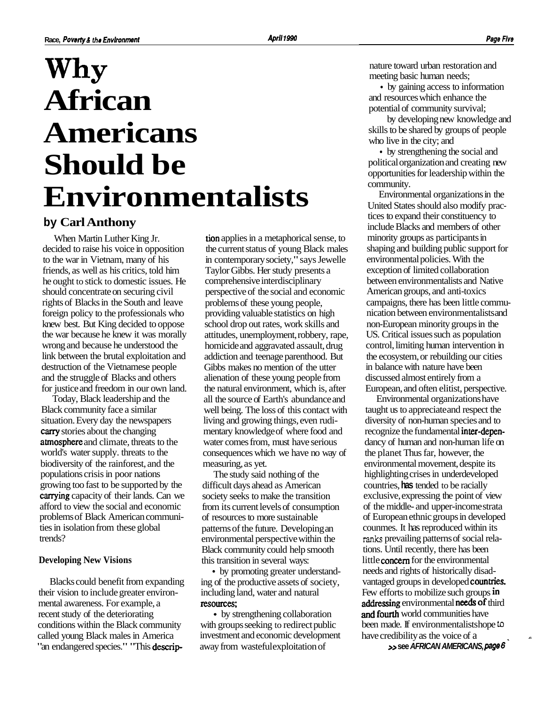## Why **African Americans Should be Environmentalists**

#### **by Carl Anthony**

When Martin Luther King Jr. decided to raise his voice in opposition to the war in Vietnam, many of his friends, as well as his critics, told him he ought to stick to domestic issues. He should concentrate on securing civil rights of Blacks in the South and leave foreign policy to the professionals who knew best. But King decided to oppose the war because he knew it was morally wrong and because he understood the link between the brutal exploitation and destruction of the Vietnamese people and the struggle of Blacks and others for justice and freedom in our own land.

Today, Black leadership and the Black community face a similar situation. Every day the newspapers carry stories about the changing atmosphere and climate, threats to the world's water supply. threats to the biodiversity of the rainforest, and the populations crisis in poor nations growing too fast to be supported by the carrying capacity of their lands. Can we afford to view the social and economic problems of Black American communities in isolation from these global trends?

#### **Developing New Visions**

Blacks could benefit from expanding their vision to include greater environmental awareness. For example, a recent study of the deteriorating conditions within the Black community called young Black males in America "an endangered species." "This descrip-

tion applies in a metaphorical sense, to the current status of young Black males in contemporary society," says Jewelle Taylor Gibbs. Her study presents a comprehensive interdisciplinary perspective of the social and economic problems of these young people, providing valuable statistics on high school drop out rates, work skills and attitudes, unemployment, robbery, rape, homicide and aggravated assault, drug addiction and teenage parenthood. But Gibbs makes no mention of the utter alienation of these young people from the natural environment, which is, after all the source of Earth's abundance and well being. The loss of this contact with living and growing things, even rudimentary knowledge of where food and water comes from, must have serious consequences which we have no way of measuring, as yet.

The study said nothing of the difficult days ahead as American society seeks to make the transition from its current levels of consumption of resources to more sustainable patterns of the future. Developing an environmental perspective within the Black community could help smooth this transition in several ways:

by promoting greater understanding of the productive assets of society, including land, water and natural resources;

• by strengthening collaboration with groups seeking to redirect public investment and economic development away from wasteful exploitation of

nature toward urban restoration and meeting basic human needs;

by gaining access to information and resources which enhance the potential of community survival;

by developing new knowledge and skills to be shared by groups of people who live in the city; and

• by strengthening the social and political organization and creating new opportunities for leadership within the community.

Environmental organizations in the United States should also modify practices to expand their constituency to include Blacks and members of other minority groups as participants in shaping and building public support for environmental policies. With the exception of limited collaboration between environmentalists and Native American groups, and anti-toxics campaigns, there has been little communication between environmentalists and non-European minority groups in the US. Critical issues such as population control, limiting human intervention in the ecosystem, or rebuilding our cities in balance with nature have been discussed almost entirely from a European, and often elitist, perspective.

Environmental organizations have taught us to appreciate and respect the diversity of non-human species and to recognize the fundamental **inter-depen**dancy of human and non-human life on the planet Thus far, however, the environmental movement, despite its highlighting crises in underdeveloped countries, **has** tended to be racially exclusive, expressing the point of view of the middle- and upper-income strata of European ethnic groups in developed counmes. It has reproduced within its **ranks** prevailing patterns of social relations. Until recently, there has been little concern for the environmental needs and rights of historically disadvantaged groups in developed countries. Few efforts to mobilize such groups in addressing environmental needs of third and fourth world communities have been made. If environmentalists hope **to**  have credibility as the voice of a

>> **see AFRICAN AMERICANS, papage 6** '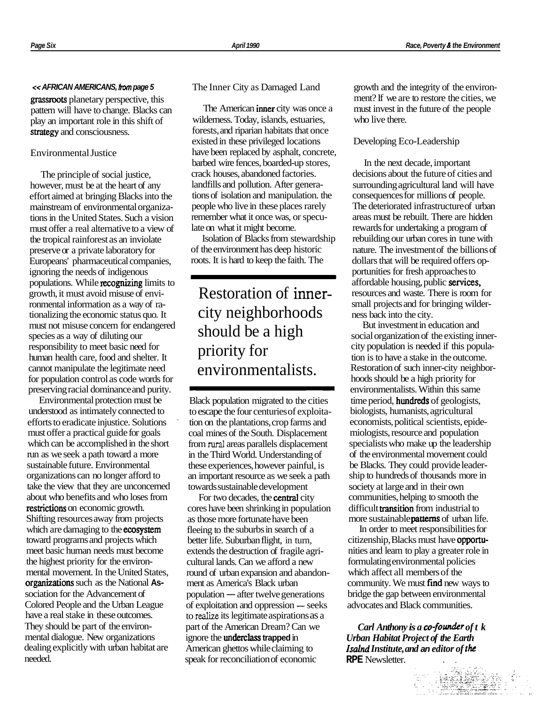#### << AFRICAN AMERICANS, from page 5

grassroots planetary perspective, this pattern will have to change. Blacks can play an important role in this shift of strategy and consciousness.

#### Environmental Justice

The principle of social justice, however, must be at the heart of any effort aimed at bringing Blacks into the mainstream of environmental organizations in the United States. Such a vision must offer a real alternative to a view of the tropical rainforest as an inviolate preserve or a private laboratory for Europeans' pharmaceutical companies, ignoring the needs of indigenous populations. While recognizing limits to growth, it must avoid misuse of environmental information as a way of rationalizing the economic status quo. It must not misuse concern for endangered species as a way of diluting our responsibility to meet basic need for human health care, food and shelter. It cannot manipulate the legitimate need for population control as code words for preserving racial dominance and purity.

Environmental protection must be understood as intimately connected to efforts to eradicate injustice. Solutions . must offer a practical guide for goals which can be accomplished in the short run as we seek a path toward a more sustainable future. Environmental organizations can no longer afford to take the view that they are unconcerned about who benefits and who loses from restrictions on economic growth. Shifting resources away from projects which are damaging to the ecosystem toward programs and projects which meet basic human needs must become the highest priority for the environmental movement. In the United States, organizations such as the National **As**sociation for the Advancement of Colored People and the Urban League have a real stake in these outcomes. They should be part of the environmental dialogue. New organizations dealing explicitly with urban habitat are needed.

The Inner City as Damaged Land

The American **inner** city was once a wilderness. Today, islands, estuaries, forests, and riparian habitats that once existed in these privileged locations have been replaced by asphalt, concrete, barbed wire fences, boarded-up stores, crack houses, abandoned factories. landfills and pollution. After generations of isolation and manipulation. the people who live in these places rarely remember what it once was, or speculate on what it might become.

Isolation of Blacks from stewardship of the environment has deep historic roots. It is hard to keep the faith. The

### Restoration of innercity neighborhoods should be a high priority for environmentalists.

Black population migrated to the cities to escape the four centuries of exploitation on the plantations, crop farms and coal mines of the South. Displacement from rural areas parallels displacement in the Third World. Understanding of these experiences, however painful, is an important resource as we seek a path towards sustainable development

For two decades, the **central** city cores have been shrinking in population as those more fortunate have been fleeing to the suburbs in search of a better life. Suburban flight, in turn, extends the destruction of fragile agricultural lands. Can we afford a new round of urban expansion and abandonment as America's Black urban  $population$  - after twelve generations of exploitation and oppression — seeks to **realize** its legitimate aspirations as a part of the American Dream? Can we ignore the underclass **trapped** in American ghettos while claiming to speak for reconciliation of economic

growth and the integrity of the environment? If we are to restore the cities, we must invest in the future of the people who live there.

#### Developing Eco-Leadership

In the next decade, important decisions about the future of cities and surrounding agricultural land will have consequences for millions of people. The deteriorated infrastructure of urban areas must be rebuilt. There are hidden rewards for undertaking a program of rebuilding our urban cores in tune with nature. The investment of the billions of dollars that will be required offers opportunities for fresh approaches to affordable housing, public services. resources and waste. There is room for small projects and for bringing wilderness back into the city.

But investment in education and social organization of the existing innercity population is needed if this population is to have a stake in the outcome. Restoration of such inner-city neighborhoods should be a high priority for environmentalists. Within this same time period, **hundreds** of geologists, biologists, humanists, agricultural economists, political scientists, epidemiologists, resource and population specialists who make up the leadership of the environmental movement could be Blacks. They could provide leadership to hundreds of thousands more in society at large and in their own communities, helping to smooth the difficult **transition** from industrial to more sustainable **patterns** of urban life.

In order to meet responsibilities for citizenship, Blacks must have **opportu**nities and leam to play a greater role in formulating environmental policies which affect all members of the community. We must find new ways to bridge the gap between environmental advocates and Black communities.

*Carl Anthony is a co-founder of t k Urban Habitat Project of the Earth Isalnd Institute, and* **an** *editor of fk*  **RPE** Newsletter.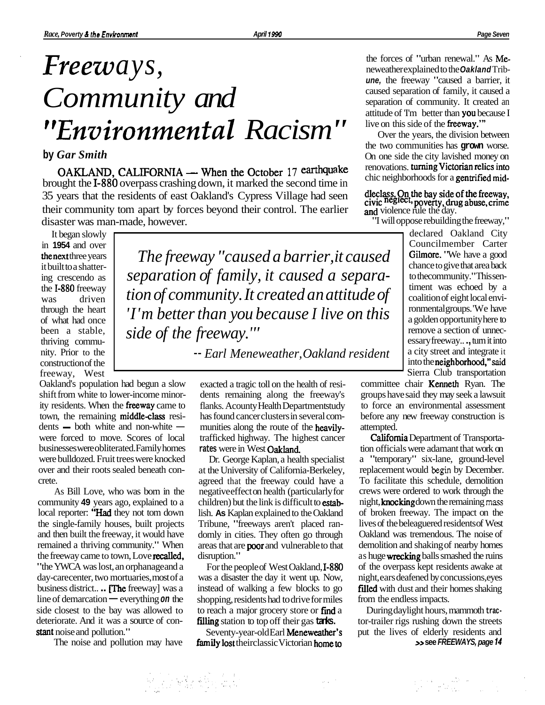## *k'reew ays, Community and "Environmenta 1 Racism"* live on this side of the freeway."\*

#### **by** *Gar Smith*

 $OAKLAND, CALIFORNIA$  — When the October 17 earthquake renovations. turning Victorian relics into<br>chic neighborhoods for a gentrified midbrought the I-880 overpass crashing down, it marked the second time in<br>35 years that the residents of east Oakland's Cypress Village had seen declass. On the bay side of the freeway,<br>their community tom apart by forces bey their community tom apart by forces beyond their control. The earlier disaster was man-made, however.

It began slowly in **1954** and over thenext three years it built to a shattering crescendo as the 1-880 freeway was driven through the heart of what had once been a stable, thriving community. Prior to the construction of the freeway, West

Oakland's population had begun a slow exacted a tragic toll on the health of resishift from white to lower-income minor-<br>ity residents. When the **freeway** came to flanks. Acounty Health Departments tudy town, the remaining **middle-class** resi-<br>has found cancer clusters in several comdents - both white and non-white - munities along the route of the **heavily**-<br>were forced to move. Scores of local trafficked highway. The highest cancer businesses were obliterated. Family homes **rates** were in West Oakland were bulldozed. Fruit trees were knocked Dr. George Kaplan, a health specialist over and their roots sealed beneath con-<br>at the University of California-Berkeley,<br>agreed that the free way could have a

community **49** years ago, explained to a children) but the link is difficult to establocal reporter: "Had they not tom down lish. As Kaplan explained to the Oakland the single-family houses, built projects Tribune, "freeways aren't placed ranand then built the freeway, it would have domly in cities. They often go through remained a thriving community." When areas that are **poor** and vulnerable to that the freeway came to town, Love **recalled,** disruption." "the YWCA was lost, an orphanage and a For the people of West Oakland, I-880 day-care center, two mortuaries, most of a was a disaster the day it went up. Now, business district... The freeway] was a instead of walking a few blocks to go line of demarcation — everything **on** the shopping, residents had to drive for miles side closest to the bay was allowed to to reach a major grocery store or **find** a side closest to the bay was allowed to deteriorate. And it was a source of con-<br>**filling** station to top off their gas tarks. stant noise and pollution." Seventy-year-old Earl Meneweather's

*The freeway "caused a barrier, it caused separation of family, it caused a separation of community. It created an attitude of 'I'm better than you because I live on this side of the freeway.'"* 

-- *Earl Meneweather, Oakland resident* 

flanks. Acounty Health Department study trafficked highway. The highest cancer

agreed that the freeway could have a As Bill Love, who was born in the negative effect on health (particularly for

The noise and pollution may have family lost theirclassic Victorian home to

the forces of "urban renewal." As Meneweather explained to the **Oakland** Trib**une,** the freeway "caused a barrier, it caused separation of family, it caused a separation of community. It created an attitude of Tm better than you because I

Over the years, the division between the two communities has **grown** worse. On one side the city lavished money on

"I will oppose rebuilding the freeway,"

declared Oakland City Councilmember Carter Gilmore. "We have a good chance to give that area back to thecommunity." This sentiment was echoed by a coalition of eight local environmental groups. 'We have a golden opportunity here to remove a section of unnecessary freeway.. ., turn it into a city street and integrate it into the neighborhood,"said Sierra Club transportation

committee chair Kenneth Ryan. The groups have said they may seek a lawsuit to force an environmental assessment before any new freeway construction is attempted.

California Department of Transportation officials were adamant that work on a "temporary" six-lane, ground-level replacement would **begin** by December. To facilitate this schedule, demolition crews were ordered to work through the night, knocking down the remaining **mass**  of broken freeway. The impact on the lives of the beleaguered residents of West Oakland was tremendous. The noise of demolition and shaking of nearby homes as huge wrecking balls smashed the ruins of the overpass kept residents awake at night, ears deafened by concussions, eyes **filled** with dust and their homes shaking from the endless impacts.

During daylight hours, mammoth **trac**tor-trailer rigs rushing down the streets put the lives of elderly residents and >> **see FREEWAYS, page 14** 

an da bhaile an 1970.<br>Tachartasan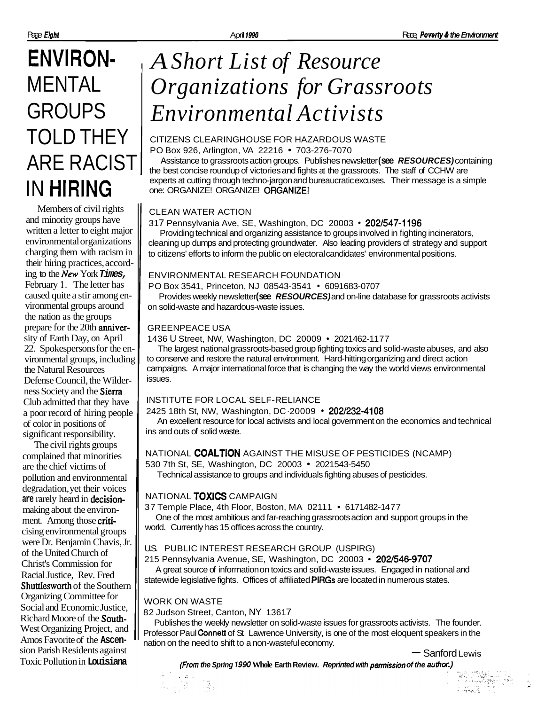## TOLD THEY ARE RACIST **MENTAL GROUPS** IN HIRING

Members of civil rights and minority groups have written a letter to eight major environmental organizations charging them with racism in their hiring practices, according to the *New* York **Times,**  February **1.** The letter has caused quite a stir among environmental groups around the nation as the groups prepare for the 20th anniversity of Earth Day, on April 22. Spokespersons for the environmental groups, including the Natural Resources Defense Council, the Wilderness Society and the Sierra Club admitted that they have a poor record of hiring people of color in positions of significant responsibility.

The civil rights groups complained that minorities are the chief victims of pollution and environmental degradation, yet their voices **are** rarely heard in decisionmaking about the environment. Among those criticising environmental groups were Dr. Benjamin Chavis, Jr. of the United Church of Christ's Commission for Racial Justice, Rev. Fred Shuttlesworth of the Southern Organizing Committee for Social and Economic Justice, Richard Moore of the South-West Organizing Project, and Amos Favorite of the **Ascen**sion Parish Residents against Toxic Pollution in **Louisiana** 

## ENVIRON- , *A Short List of Resource Organizations for Grassroots Environmental Activists*

#### CITIZENS CLEARINGHOUSE FOR HAZARDOUS WASTE PO Box 926, Arlington, VA 22216 • 703-276-7070

Assistance to grassroots action groups. Publishes newsletter **(see RESOURCES)** containing the best concise roundup of victories and fights at the grassroots. The staff of CCHW are experts at cutting through techno-jargon and bureaucratic excuses. Their message is a simple one: ORGANIZE! ORGANIZE! ORGANIZE!

#### CLEAN WATER ACTION

#### 317 Pennsylvania Ave, SE, Washington, DC 20003 • 202/547-1196

Providing technical and organizing assistance to groups involved in fighting incinerators, cleaning up dumps and protecting groundwater. Also leading providers of strategy and support to citizens' efforts to inform the public on electoral candidates' environmental positions.

#### ENVIRONMENTAL RESEARCH FOUNDATION

#### PO Box 3541, Princeton, NJ 08543-3541 • 6091683-0707

Provides weekly newsletter **(see RESOURCES)** and on-line database for grassroots activists on solid-waste and hazardous-waste issues.

#### GREENPEACE USA

#### 1436 U Street, NW, Washington, DC 20009 · 2021462-1177

The largest national grassroots-based group fighting toxics and solid-waste abuses, and also to conserve and restore the natural environment. Hard-hitting organizing and direct action campaigns. A major international force that is changing the way the world views environmental issues.

#### INSTITUTE FOR LOCAL SELF-RELIANCE

#### 2425 18th St, NW, Washington, DC-20009 • 202/232-4108

An excellent resource for local activists and local government on the economics and technical ins and outs of solid waste.

#### NATIONAL COALTION AGAINST THE MISUSE OF PESTICIDES (NCAMP) 530 7th St, SE, Washington, DC 20003 • 2021543-5450

Technical assistance to groups and individuals fighting abuses of pesticides.

#### NATIONAL **TOXICS** CAMPAIGN

37 Temple Place, 4th Floor, Boston, MA 02111 • 6171482-1477

One of the most ambitious and far-reaching grassroots action and support groups in the world. Currently has 15 offices across the country.

#### U.S. PUBLIC INTEREST RESEARCH GROUP (USPIRG)

215 Pennsylvania Avenue, SE, Washington, DC 20003 • 202/546-9707 A great source of information on toxics and solid-waste issues. Engaged in national and statewide legislative fights. Offices of affiliated PIRGs are located in numerous states.

#### WORK ON WASTE

之徒、《集》

82 Judson Street, Canton, NY 13617

Publishes the weekly newsletter on solid-waste issues for grassroots activists. The founder. Professor Paul **Connett** of St. Lawrence University, is one of the most eloquent speakers in the nation on the need to shift to a non-wasteful economy.<br>
- Sanford Lewis<br>
- Sanford Lewis nation on the need to shift to a non-wasteful economy.

**(From the Spring 19W Whole Earth Review. Reprinted with permission of the author.)**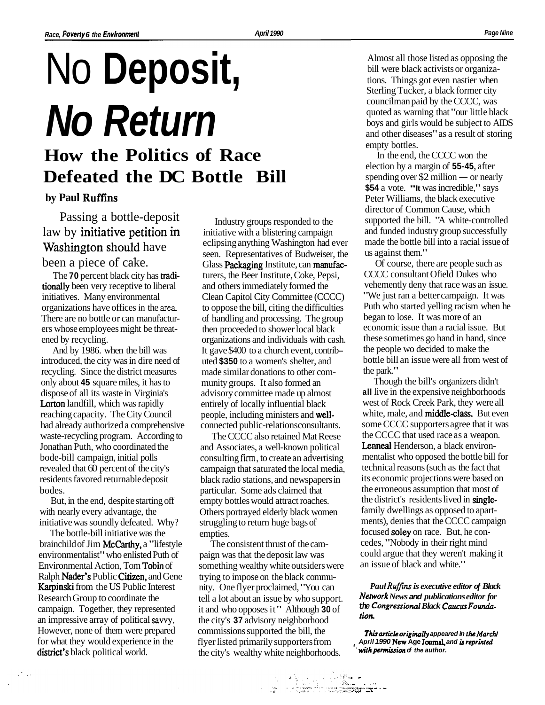## No **Deposit, No Return How the Politics of Race**

### **Defeated the DC Bottle Bill**

#### **by Paul Ruffins**

Passing a bottle-deposit Industry groups responded to the law by **initiative petition in** initiative with a blistering campaign Washington should have<br>been a piece of cake.

tionally been very receptive to liberal initiatives. Many environmental organizations have offices in the **area**  There are no bottle or can manufacturers whose employees might be threatened by recycling.

And by 1986. when the bill was introduced, the city was in dire need of recycling. Since the district measures only about **45** square miles, it has to dispose of all its waste in Virginia's Lorton landfill, which was rapidly reaching capacity. The City Council had already authorized a comprehensive waste-recycling program. According to Jonathan Puth, who coordinated the bode-bill campaign, initial polls revealed that 60 percent of the city's residents favored returnable deposit bodes.

But, in the end, despite starting off with nearly every advantage, the initiative was soundly defeated. Why?

The bottle-bill initiative was the brainchild of Jim McCarthy, a "lifestyle environmentalist" who enlisted Puth of Environmental Action, Tom Tobin of Ralph Nader's Public Citizen, and Gene Karpinski from the US Public Interest Research Group to coordinate the campaign. Together, they represented an impressive array of political **savvy.**  However, none of them were prepared for what they would experience in the district's black political world.

 $\mathcal{L}^{(1)}$  and

eclipsing anything Washington had ever seen. Representatives of Budweiser, the Glass **Packaging** Institute, can **manufac-**The **70** percent black city has tradi- turers, the Beer Institute, Coke, Pepsi, and others immediately formed the Clean Capitol City Committee (CCCC) to oppose the bill, citing the difficulties of handling and processing. The group then proceeded to shower local black organizations and individuals with cash. It gave \$400 to a church event, contributed **\$350** to a women's shelter, and made similar donations to other community groups. It also formed an advisory committee made up almost entirely of locally influential black people, including ministers and wellconnected public-relations consultants.

> The CCCC also retained Mat Reese and Associates, a well-known political consulting firm, to create an advertising campaign that saturated the local media, black radio stations, and newspapers in particular. Some ads claimed that empty bottles would attract roaches. Others portrayed elderly black women struggling to return huge bags of empties.

> The consistent thrust of the campaign was that the deposit law was something wealthy white outsiders were trying to impose on the black community. One flyer proclaimed, "You can tell a lot about an issue by who support. it and who opposes it" Although **30** of the city's **37** advisory neighborhood commissions supported the bill, the flyer listed primarily supporters from the city's wealthy white neighborhoods.

Almost all those listed as opposing the bill were black activists or organizations. Things got even nastier when Sterling Tucker, a black former city councilman paid by the CCCC, was quoted as warning that "our little black boys and girls would be subject to AIDS and other diseases" as a result of storing empty bottles.

In the end, the CCCC won the election by a margin of **55-45,** after spending over \$2 million  $-$  or nearly **\$54** a vote. **"It** was incredible," says Peter Williams, the black executive director of Common Cause, which supported the bill. "A white-controlled and funded industry group successfully made the bottle bill into a racial issue of us against them."

Of course, there are people such as CCCC consultant Ofield Dukes who vehemently deny that race was an issue. "We just ran a better campaign. It was Puth who started yelling racism when he began to lose. It was more of an economic issue than a racial issue. But these sometimes go hand in hand, since the people wo decided to make the bottle bill an issue were all from west of the park."

Though the bill's organizers didn't **all** live in the expensive neighborhoods west of Rock Creek Park, they were all white, male, and **middle-class.** But even some CCCC supporters agree that it was the CCCC that used race as a weapon. Lenneal Henderson, a black environmentalist who opposed the bottle bill for technical reasons (such as the fact that its economic projections were based on the erroneous assumption that most of the district's residents lived in singlefamily dwellings as opposed to apartments), denies that the CCCC campaign focused soley on race. But, he concedes, "Nobody in their right mind could argue that they weren't making it an issue of black and white."

*Paul Ruffjins is executive editor of Black Nehvork News* **and** *publications editor for*  the Congressional Black Caucus Founda**tion** 

*Thir orlich* **orighlly appeared in tht MarcN April 1990 New Age** Journal, **and** u **reprhed**  with *permission* of the author.

. - - . \*. -. - - - - . ..- - -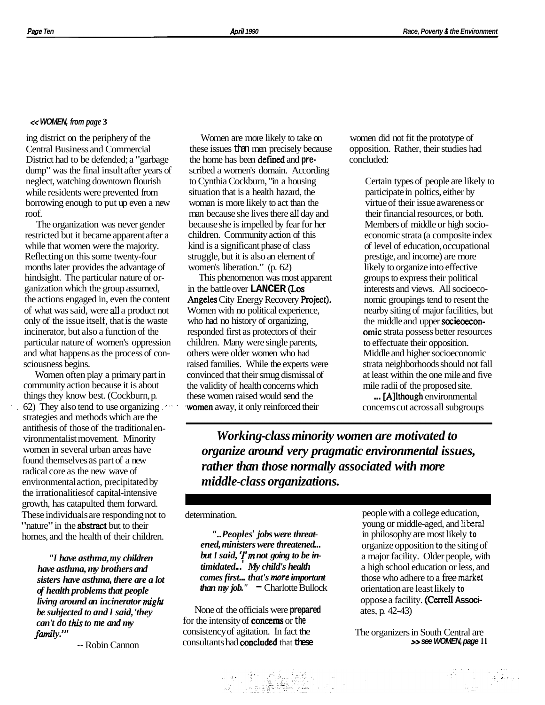ing district on the periphery of the Central Business and Commercial District had to be defended; a "garbage dump" was the final insult after years of neglect, watching downtown flourish while residents were prevented from borrowing enough to put up even a new roof.

The organization was never gender restricted but it became apparent after a while that women were the majority. Reflecting on this some twenty-four months later provides the advantage of hindsight. The particular nature of organization which the group assumed, the actions engaged in, even the content of what was said, were all a product not only of the issue itself, that is the waste incinerator, but also a function of the particular nature of women's oppression and what happens as the process of consciousness begins.

Women often play a primary part in community action because it is about things they know best. (Cockburn, p. - . 62) They also tend to use organizing . . strategies and methods which are the antithesis of those of the traditional environmentalist movement. Minority women in several urban areas have found themselves as part of a new radical core as the new wave of environmental action, precipitated by the irrationalities of capital-intensive growth, has catapulted them forward. These individuals are responding not to "nature" in the **abstract** but to their homes, and the health of their children.

> *"I have asthma, my children have asthma, my brothers and sisters have asthma, there are a lot of health problems that people living around an incinerator might be subjected to and I said, 'they can't do this to me and my family.*"

-- Robin Cannon

Women are more likely to take on these issues than men precisely because the home has been defmed and **pre**scribed a women's domain. According to Cynthia Cockburn, "in a housing situation that is a health hazard, the woman is more likely to act than the man because she lives there all day and because she is impelled by fear for her children. Community action of this kind is a significant phase of class struggle, but it is also an element of women's liberation." (p. 62)

This phenomenon was most apparent in the battle over **LANCER** (Los Angeles City Energy Recovery Project). Women with no political experience, who had no history of organizing, responded first as protectors of their children. Many were single parents, others were older women who had raised families. While the experts were convinced that their smug dismissal of the validity of health concerns which these women raised would send the women away, it only reinforced their

women did not fit the prototype of opposition. Rather, their studies had concluded:

> Certain types of people are likely to participate in poltics, either by virtue of their issue awareness or their financial resources, or both. Members of middle or high socioeconomic strata (a composite index of level of education, occupational prestige, and income) are more likely to organize into effective groups to express their political interests and views. All socioeconomic groupings tend to resent the nearby siting of major facilities, but the middle and upper socieoeconomic strata possess better resources to effectuate their opposition. Middle and higher socioeconomic strata neighborhoods should not fall at least within the one mile and five mile radii of the proposed site.

... [A]lthough environmental concems cut across all subgroups

*Working-class minority women are motivated to organize around very pragmatic environmental issues, rather than those normally associated with more middle-class organizations.* 

#### determination.

"..Peoples<sup>1</sup> jobs were threat*ened, ministers were threatened* ... *but I said, 'I'm not going to be intimidated.* ..' *My child's health comes first* ... *that's more important than my job.*" - Charlotte Bullock

None of the officials were **prepared**  for the intensity of concems or **the**  consistency of agitation. In fact the consultants had **concluded** that these

and franches

people with a college education, young or middle-aged, and **liberal**  in philosophy are most likely **to**  organize opposition **to** the siting of a major facility. Older people, with a high school education or less, and those who adhere to a free **market**  orientation are least likely **to**  oppose a facility. (Cerrell **Associ**ates, p. 42-43)

The organizers in South Central are >> **see WOMEN, page I I** 

a<br>San Salahara<br>Car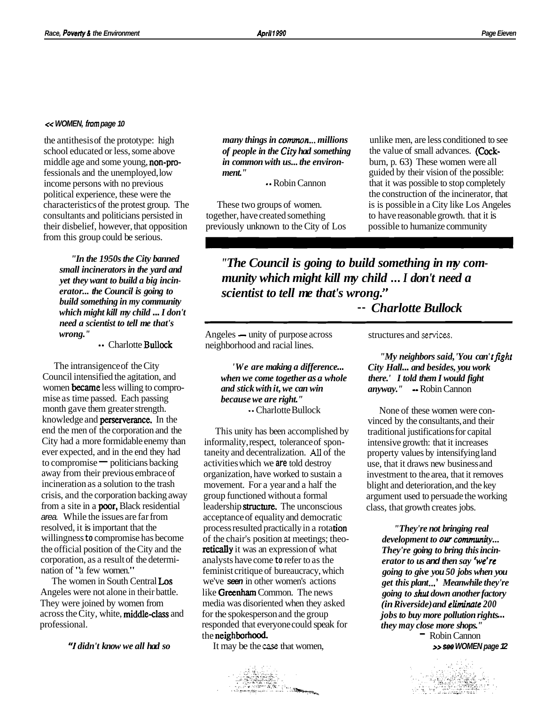the antithesis of the prototype: high school educated or less, some above middle age and some young, non-professionals and the unemployed, low income persons with no previous political experience, these were the characteristics of the protest group. The consultants and politicians persisted in their disbelief, however, that opposition from this group could be serious.

> *"In the 1950s the City banned small incinerators in the yard and yet they want to build a big incinerator* ... *the Council is going to build something in my community which might kill my child* ... *I don't need a scientist to tell me that's wrong."*

> > -- Charlotte Bullock

The intransigence of the City Council intensified the agitation, and women became less willing to compromise as time passed. Each passing month gave them greater strength. knowledge and perserverance. In the end the men of the corporation and the City had a more formidable enemy than ever expected, and in the end they had City had a more formidable enemy that<br>ever expected, and in the end they had<br>to compromise — politicians backing away from their previous embrace of incineration as a solution to the trash crisis, and the corporation backing away from a site in a poor, Black residential area. While the issues are far from resolved, it is important that the willingness **to** compromise has become the official position of the City and the corporation, as a result of the determination of "a few women."

The women in South Central Los Angeles were not alone in their battle. They were joined by women from across the City, white, middle-class and professional.

*"I didn't know we all had so* 

*many things in common... millions of people in the City had something in common with us... the environment."* 

-- Robin Cannon

These two groups of women. together, have created something previously unknown to the City of Los

unlike men, are less conditioned to see the value of small advances. (Cockburn, p. 63) These women were all guided by their vision of the possible: that it was possible to stop completely the construction of the incinerator, that is is possible in a City like Los Angeles to have reasonable growth. that it is possible to humanize community

*"The Council is going to build something in my community which might kill my child* ... *I don't need a scientist to tell me that's wrong.* " -- *Charlotte Bullock* 

Angeles  $\rightarrow$  unity of purpose across neighborhood and racial lines.

> *'We are making a difference*... *when we come together as a whole and stick with it, we can win because we are right."*  -- Charlotte Bullock

This unity has been accomplished by informality, respect, tolerance of spontaneity and decentralization. **AU** of the activities which we **are** told destroy organization, have worked to sustain a movement. For a year and a half the group functioned without a formal leadership structure. The unconscious acceptance of equality and democratic process resulted practically in a rotation of the chair's position **at** meetings; theoretically it was an expression of what analysts have come **to** refer to as the feminist critique of bureaucracy, which we've **seen** in other women's actions like **Greenham** Common. The news media was disoriented when they asked for the spokesperson and the group responded that everyone could speak for the neighborhood.

It may be the **case** that women,

structures and **services.** 

*"My neighbors said, 'You can' tfight City Hall* ... *and besides, you work there.' I told them I would fight anyway."* -- Robin Cannon

None of these women were convinced by the consultants, and their traditional justifications for capital intensive growth: that it increases property values by intensifying land use, that it draws new business and investment to the area, that it removes blight and deterioration, and the key argument used to persuade the working class, that growth creates jobs.

*"They're not bringing real development to our community... They're going to bring this incinerator to us* **and** *then say 'we're going to give you 50 jobs when you get this plant* ...' *Meanwhile they're going to shut down another factory (in Riverside) and eliminate 200 jobs to buy more pollution rights* ... *they may close more shops."* 

- Robin Cannon **>>see WOMEN page 12** 

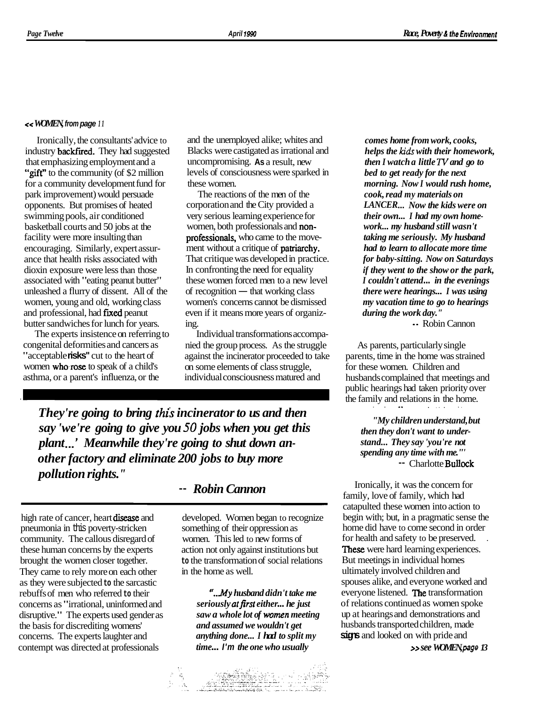Ironically, the consultants' advice to industry **backfired**. They had suggested that emphasizing employment and a "gift" to the community (of \$2 million for a community development fund for park improvement) would persuade opponents. But promises of heated swimming pools, air conditioned basketball courts and 50 jobs at the facility were more insulting than encouraging. Similarly, expert assurance that health risks associated with dioxin exposure were less than those associated with "eating peanut butter" unleashed a flurry of dissent. All of the women, young and old, working class and professional, had fixed peanut butter sandwiches for lunch for years.

The experts insistence on referring to congenital deformities and cancers as "acceptable **risks"** cut to the heart of women who rose to speak of a child's asthma, or a parent's influenza, or the

and the unemployed alike; whites and Blacks were castigated as irrational and uncompromising. **As** a result, new levels of consciousness were sparked in these women.

The reactions of the men of the corporation and the City provided a very serious learning experience for women, both professionals and nonprofessibnals, who came to the movement without a critique of **patriarchy**. That critique was developed in practice. In confronting the need for equality these women forced men to a new level In confronting the need for equality<br>these women forced men to a new le<br>of recognition — that working class women's concerns cannot be dismissed even if it means more years of organizing.

Individual transformations accompanied the group process. As the struggle against the incinerator proceeded to take on some elements of class struggle, individual consciousness matured and

*They're going to bring this incinerator to us and then say 'we're going to give you* **SO** *jobs when you get this plant* ...' *Meanwhile they're going to shut down another factory and eliminate 200 jobs to buy more pollution rights."* 

high rate of cancer, heart disease and pneumonia in this poverty-stricken community. The callous disregard of these human concerns by the experts brought the women closer together. They came to rely more on each other as they were subjected **to** the sarcastic rebuffs of men who referred **to** their concerns as "irrational, uninformed and disruptive." The experts used gender as the basis for discrediting womens' concerns. The experts laughter and contempt was directed at professionals

#### -- *Robin Cannon*

developed. Women began to recognize something of their oppression as women. This led to new forms of action not only against institutions but **to** the transformation of social relations in the home as well.

*"..My husband didn't take me seriously atfirst either* ... *he just saw a whole lot of women meeting and assumed we wouldn't get anything done... I had to split my time* ... **I'm** *the one who usually* 

*comes home from work, cooks, helps the kids with their homework, then I watch a little* **TV** *and go to bed to get ready for the next morning. Now I would rush home, cook, read my materials on LANCER* ... *Now the kids were on their own* ... *I had my own homework* ... *my husband still wasn't taking me seriously. My husband had to learn to allocate more time for baby-sitting. Now on Saturdays if they went to the show or the park, I couldn't attend* ... *in the evenings there were hearings* ... *I was using my vacation time to go to hearings during the work day."*  -- Robin Cannon

As parents, particularly single parents, time in the home was strained for these women. Children and husbands complained that meetings and public hearings had taken priority over

*"My children understand, but then they don't want to understa nd... They say 'you're not spending any time with me."'*  -- Charlotte Bullock

the family and relations in the home.

Ironically, it was the concern for family, love of family, which had catapulted these women into action to begin with; but, in a pragmatic sense the home did have to come second in order for health and safety to be preserved. . **These** were hard learning experiences. But meetings in individual homes ultimately involved children and spouses alike, and everyone worked and everyone listened. The transformation of relations continued as women spoke up at hearings and demonstrations and husbands transported children, made **signs** and looked on with pride and

>> *see WOMEN,* **page** *13*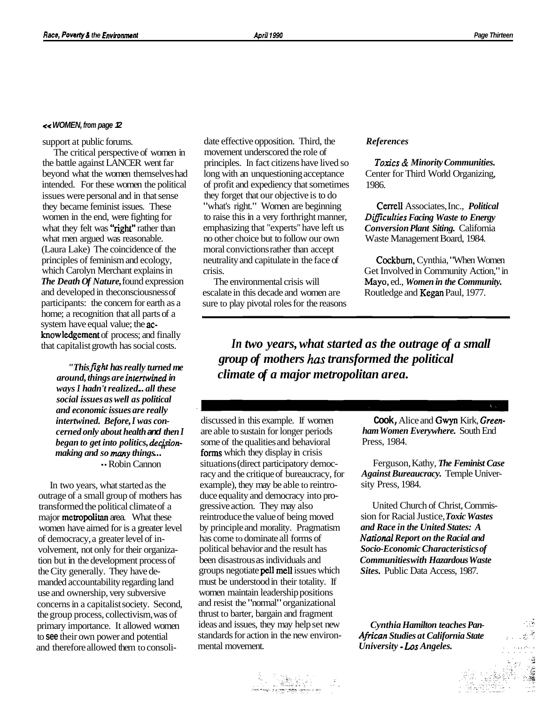support at public forums.

The critical perspective of women in the battle against LANCER went far beyond what the women themselves had intended. For these women the political issues were personal and in that sense they became feminist issues. These women in the end, were fighting for what they felt was "right" rather than what men argued was reasonable. (Laura Lake) The coincidence of the principles of feminism and ecology, which Carolyn Merchant explains in *The Death Of Nature,* found expression and developed in theconsciousness of participants: the concern for earth as a home; a recognition that all parts of a system have equal value; the acknowledgement of process; and finally that capitalist growth has social costs.

*"This fight has really turned me around, things are intertwined in ways I hadn't realized.* .. *all these social issues as well as political and economic issues are really intertwined. Before, I was concerned only about health* **and** *then I began to get into politics, decisionmaking and so many things...* -- Robin Cannon

In two years, what started as the outrage of a small group of mothers has transformed the political climate of a major metropolitan area. What these women have aimed for is a greater level of democracy, a greater level of involvement, not only for their organization but in the development process of the City generally. They have demanded accountability regarding land use and ownership, very subversive concerns in a capitalist society. Second, the group process, collectivism, was of primary importance. It allowed women to **see** their own power and potential and therefore allowed them to consoli-

date effective opposition. Third, the movement underscored the role of principles. In fact citizens have lived so long with an unquestioning acceptance of profit and expediency that sometimes they forget that our objective is to do "what's right." Women are beginning to raise this in a very forthright manner, emphasizing that "experts" have left us no other choice but to follow our own moral convictions rather than accept neutrality and capitulate in the face of crisis.

The environmental crisis will escalate in this decade and women are sure to play pivotal roles for the reasons

#### *References*

*Toxics* & *Minority Communities.*  Center for Third World Organizing, 1986.

Cerrell Associates, Inc., *Political Dificulties Facing Waste to Energy Conversion Plant Siting.* California Waste Management Board, 1984.

Cockburn, Cynthia, "When Women Get Involved in Community Action," in Mayo, ed., *Women in the Community.*  Routledge and Kegan Paul, 1977.

*In two years, what started as the outrage of a small group of mothers has transformed the political climate of a major metropolitan area.* 

discussed in this example. If women are able to sustain for longer periods some of the qualities and behavioral forms which they display in crisis situations (direct participatory democracy and the critique of bureaucracy, for example), they may be able to reintroduce equality and democracy into progressive action. They may also reintroduce the value of being moved by principle and morality. Pragmatism has come to dominate all forms of political behavior and the result has been disastrous as individuals and groups negotiate **pell mell** issues which must be understood in their totality. If women maintain leadership positions and resist the "normal" organizational thrust to barter, bargain and fragment ideas and issues, they may help set new standards for action in the new environmental movement.

**Cook,** Alice and Gwyn Kirk, *Greenham Women Everywhere.* South End Press, 1984.

Ferguson, Kathy, *The Feminist Case Against Bureaucracy.* Temple University Press, 1984.

United Church of Christ, Commission for Racial Justice, *Toxic Wastes and Race in the United States: A*  **National Report on the Racial and** *Socio-Economic Characteristics of Communities with Hazardous Waste Sites.* Public Data Access, 1987.

. *Cynthia Hamilton teaches Pan-* ..\* . .:.. :- *Afn'can Studies at California State* : .... . <..:"< *University • Los Angeles.* 

...

...... . .: . **<sup>3</sup>**.. ,. .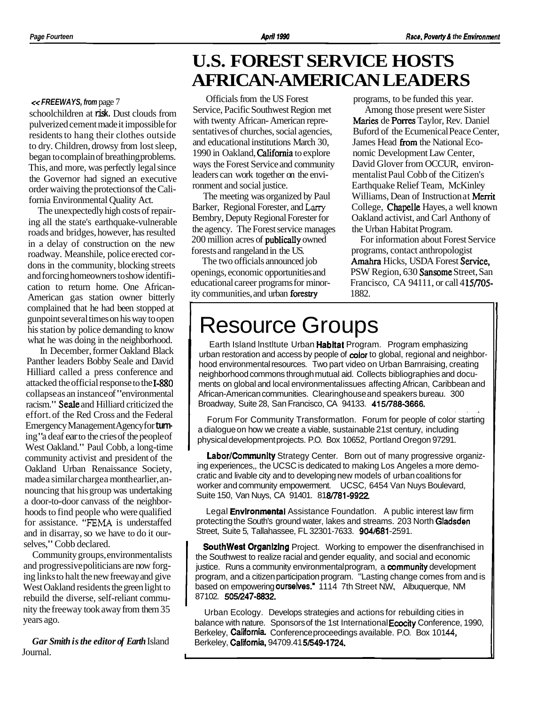#### << **FREEWAYS, from** page 7

schoolchildren at **risk.** Dust clouds from pulverized cement made it impossible for residents to hang their clothes outside to dry. Children, drowsy from lost sleep, began to complain of breathing problems. This, and more, was perfectly legal since the Governor had signed an executive order waiving the protections of the California Environmental Quality Act.

The unexpectedly high costs of repairing all the state's earthquake-vulnerable roads and bridges, however, has resulted in a delay of construction on the new roadway. Meanshile, police erected cordons in the community, blocking streets and forcing homeowners to show identification to return home. One African-American gas station owner bitterly complained that he had been stopped at gunpoint several times on his way to open his station by police demanding to know what he was doing in the neighborhood.

In December, former Oakland Black Panther leaders Bobby Seale and David Hilliard called a press conference and attacked the official response to the 1-880 collapse as an instance of "environmental racism." Seale and Hilliard criticized the effort. of the Red Cross and the Federal Emergency Management Agency for **turn**ing "a deaf ear to the cries of the people of West Oakland." Paul Cobb, a long-time community activist and president of the Oakland Urban Renaissance Society, made a similar charge a month earlier, announcing that his group was undertaking a door-to-door canvass of the neighborhoods to find people who were qualified for assistance. **"FEMA** is understaffed and in disarray, so we have to do it ourselves," Cobb declared.

Community groups, environmentalists and progressive politicians are now forging links to halt the new freeway and give West Oakland residents the green light to rebuild the diverse, self-reliant community the freeway took away from them 35 years ago.

*Gar Smith is the editor of Earth* Island Journal.

### **U.S. FOREST SERVICE HOSTS AFRICAN-AMERICAN LEADERS**

Officials from the US Forest Service, Pacific Southwest Region met with twenty African- American representatives of churches, social agencies, and educational institutions March 30, 1990 in Oakland, California to explore ways the Forest Service and community leaders can work together on the environment and social justice.

The meeting was organized by Paul Barker, Regional Forester, and **Larry**  Bembry, Deputy Regional Forester for the agency. The Forest service manages 200 million acres of publically owned forests and rangeland in the US.

The two officials announced job openings, economic opportunities and educational career programs for minority communities, and urban forestry

r

programs, to be funded this year.

Among those present were Sister Maries de Porres Taylor, Rev. Daniel Buford of the Ecumenical Peace Center, James Head from the National Economic Development Law Center, David Glover from OCCUR, environmentalist Paul Cobb of the Citizen's Earthquake Relief Team, McKinley Williams, Dean of Instruction at Merrit College, Chapelle Hayes, a well known Oakland activist, and Carl Anthony of the Urban Habitat Program.

For information about Forest Service programs, contact anthropologist Amahra Hicks, USDA Forest Service, PSW Region, 630 Sansome Street, San Francisco, CA 94111, or call 415/705-1882.

**1** 

### **Resource Groups**

Earth Island Institute Urban Habitat Program. Program emphasizing urban restoration and access by people of color to global, regional and neighborhood environmental resources. Two part video on Urban Barnraising, creating neighborhood commons through mutual aid. Collects bibliographies and documents on global and local environmental issues affecting African, Caribbean and African-American communities. Clearinghouse and speakers bureau. 300 Broadway, Suite 28, San Francisco, CA 94133. 415/788-3666.

Forum For Community Transformatlon. Forum for people of color starting a dialogue on how we create a viable, sustainable 21 st century, including physical development projects. P.O. Box 10652, Portland Oregon 97291.

Labor/Community Strategy Center. Born out of many progressive organizing experiences,, the UCSC is dedicated to making Los Angeles a more democratic and livable city and to developing new models of urban coalitions for worker and community empowerment. UCSC, 6454 Van Nuys Boulevard, Suite 150, Van Nuys, CA 91401. 818/781-9922.

Legal **Environmental** Assistance Foundation. A public interest law firm protecting the South's ground water, lakes and streams. 203 North Gladsden Street, Suite 5, Tallahassee, FL 32301 -7633. 9041681 -2591.

**SouthWest Organizing** Project. Working to empower the disenfranchised in the Southwest to realize racial and gender equality, and social and economic justice. Runs a community environmental program, a community development program, and a citizen participation program. "Lasting change comes from and is based on empowering ourselves." 1114 7th Street NW., Albuquerque, NM 87102. 505/247-8832.

Urban Ecology. Develops strategies and actions for rebuilding cities in balance with nature. Sponsors of the 1st International Ecocity Conference, 1990, Berkeley, California. Conference proceedings available. P.O. Box 10144, Berkeley, California, 94709.415/549-1724.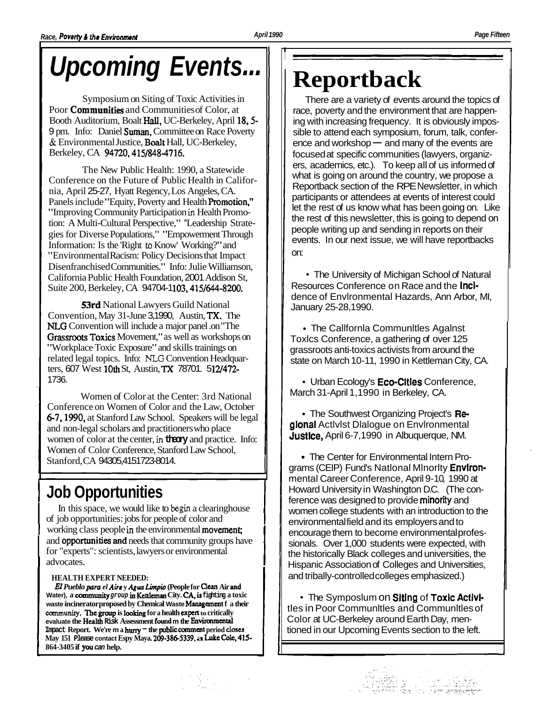### **I I I <sup>i</sup> Upcoming Events...**

Symposium on Siting of Toxic Activities in Poor **Communities** and Communities of Color, at Booth Auditorium, Boalt **Hall,** UC-Berkeley, April 18,5- 9 pm. Info: Daniel **Suman**, Committee on Race Poverty & Environmental Justice, Boalt Hall, UC-Berkeley, Berkeley, CA 94720, 415/848-4716.

The New Public Health: 1990, a Statewide Conference on the Future of Public Health in California, April 25-27, Hyatt Regency, Los Angeles, CA. Panels include "Equity, Poverty and Health Promotion," "Improving Community Participation **in** Health Promotion: A Multi-Cultural Perspective," ''Leadership Strategies for Diverse Populations," "Empowerment Through Information: Is the 'Right **to** Know' Working?" and "Environmental Racism: Policy Decisions that Impact Disenfranchised Communities." Info: Julie Williamson, California Public Health Foundation, 2001 Addison St, Suite 200, Berkeley, CA 94704-1103, 415/644-8200.

**53rd** National Lawyers Guild National Convention, May 31-June 3,1990, Austin, **TX.** The NLG Convention will include a major panel .on "The Grassroots Toxics Movement," as well as workshops on "Workplace Toxic Exposure" and skills trainings on related legal topics. Info: **NLG** Convention Headquarters, 607 West 10th St, Austin, **TX** 78701. 5 12/472- 1736.

Women of Color at the Center: 3rd National Conference on Women of Color and the Law, October 6-7.1990, at Stanford Law School. Speakers will be legal and non-legal scholars and practitioners who place women of color at the center, **in theory** and practice. Info: Women of Color Conference, Stanford Law School, Stanford, CA 94305,4151723-8014.

### <sup>1</sup>**Job Opportunities**

In this space, we would like to begin a clearinghouse<br>of job opportunities: jobs for people of color and working class people in the environmental **movement;**<br>and **opportunities and** needs that community groups have<br>for "experts": scientists, lawyers or environmental<br>advocates. for "experts": scientists, lawyers or environmental

#### **HEALTH EXPERT NEEDED:**

*El Pueblo* **paro** *el Aim* **y** *Agvo* wio **(People for Clean Air and Water), a community group in Kettleman City. CA. is fighting a toxic waste incinerator proposed by Chemical Waste Management fa their**  community. The group is looking for a health expert to critically **evaluate the Health Risk Assessment found m the Envirmmatal Impact Report.** We're **m** a hurry  $=$  the public comment period closes **May 151 Please contact Espy Maya. 209-3865339. a** Luke **Cole. 415- 864-3405 if you can help.** 

## **Reportback**

There are a variety of events around the topics of race, poverty and the environment that are happening with increasing frequency. It is obviously impossible to attend each symposium, forum, talk, confering with increasing frequency. It is obviously impos<br>sible to attend each symposium, forum, talk, confer<br>ence and workshop — and many of the events are<br>focused at enseite communities (low are expected focused at specific communities (lawyers, organizers, academics, etc.). To keep all of us informed of what is going on around the country, we propose a Reportback section of the RPE Newsletter, in which participants or attendees at events of interest could let the rest of us know what has been going on. Like the rest of this newsletter, this is going to depend on people writing up and sending in reports on their events. In our next issue, we will have reportbacks on:

• The University of Michigan School of Natural Resources Conference on Race and the Incldence of Envlronmental Hazards, Ann Arbor, MI, January 25-28,1990.

The Callfornla Communltles Agalnst Toxlcs Conference, a gathering of over 125 grassroots anti-toxics activists from around the state on March 10-11, 1990 in Kettleman City, CA.

• Urban Ecology's Eco-Cities Conference, March 31 -April 1,1990 in Berkeley, CA.

• The Southwest Organizing Project's Reglonal Actlvlst Dlalogue on Envlronmental Justlce, April 6-7,1990 in Albuquerque, NM.

The Center for Environmental Intern Programs (CEIP) Fund's National Minority Environmental Career Conference, April 9-10, 1990 at Howard University in Washington D.C. (The conference was designed to provide **minority** and women college students with an introduction to the environmental field and its employers and to encourage them to become environmental professionals. Over 1,000 students were expected, with the historically Black colleges and universities, the Hispanic Association of Colleges and Universities, and tribally-controlled colleges emphasized.)

• The Symposlum on Siting of Toxic Activitles in Poor Communltles and Communltles of Color at UC-Berkeley around Earth Day, mentioned in our Upcoming Events section to the left.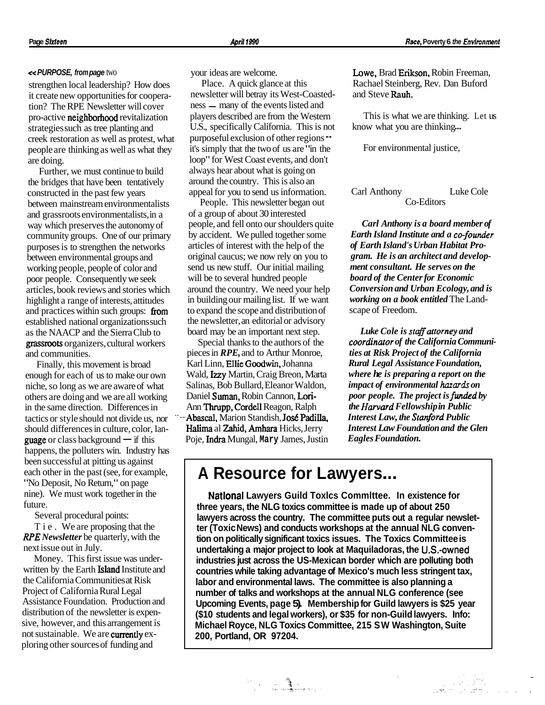#### << **PURPOSE, from page** two

strengthen local leadership? How does it create new opportunities for cooperation? The RPE Newsletter will cover pro-active neighborhood revitalization strategies such as tree planting and creek restoration as well as protest, what people are thinking as well as what they are doing.

Further, we must continue to build the bridges that have been tentatively constructed in the past few years between mainstream environmentalists and grassroots environmentalists, in a way which preserves the autonomy of community groups. One of our primary purposes is to strengthen the networks between environmental groups and working people, people of color and poor people. Consequently we seek articles, book reviews and stories which highlight a range of interests, attitudes and practices within such groups: from established national organizations such as the NAACP and the Sierra Club to grassroots organizers, cultural workers and communities.

Finally, this movement is broad enough for each of us to make our own niche, so long as we are aware of what others are doing and we are all working in the same direction. Differences in tactics or style should not divide us, nor should differences in culture, color, Ian**guage** or class background  $-$  if this happens, the polluters win. Industry has been successful at pitting us against each other in the past (see, for example, "No Deposit, No Return," on page nine). We must work together in the future.

Several procedural points:

Tie. We are proposing that the *RPE Newsletter* be quarterly, with the next issue out in July.

Money. This first issue was underwritten by the Earth Island Institute and the California Communities at Risk Project of California Rural Legal Assistance Foundation. Production and distribution of the newsletter is expensive, however, and this arrangement is not sustainable. We are **currently** exploring other sources of funding and

your ideas are welcome.

Place. A quick glance at this newsletter will betray its West-Coasted-Place. A quick glance at this<br>newsletter will betray its West-Coaste<br>ness — many of the events listed and players described are from the Western U.S., specifically California. This is not purposeful exclusion of other regions - it's simply that the two of us are "in the loop" for West Coast events, and don't always hear about what is going on around the country. This is also an appeal for you to send us information.

People. This newsletter began out of a group of about 30 interested people, and fell onto our shoulders quite by accident. We pulled together some articles of interest with the help of the original caucus; we now rely on you to send us new stuff. Our initial mailing will be to several hundred people around the country. We need your help in building our mailing list. If we want to expand the scope and distribution of the newsletter, an editorial or advisory board may be an important next step.

Special thanks to the authors of the pieces in *RPE,* and to Arthur Monroe, Karl Linn, Ellie Goodwin, Johanna Wald, Izzy Martin, Craig Breon, Marta Salinas, Bob Bullard, Eleanor Waldon, Daniel Suman, Robin Cannon, Lori-Ann Thrupp, Cordell Reagon, Ralph --**Abascal, Marion Standish, José Padilla,** Halima al Zahid, Amhara Hicks, Jerry Poje, Indra Mungal, **Mary** James, Justin Lowe, Brad Erikson, Robin Freeman, Rachael Steinberg, Rev. Dan Buford and Steve Rauh.

This is what we are thinking. Let us know what you are thinking...

For environmental justice,

Carl Anthony Luke Cole Co-Editors

*Carl Anthony is a board member of Earth Island Institute and a co-founder of Earth Island's Urban Habitat Program. He is an architect and development consultant. He serves on the board of the Center for Economic Conversion and Urban Ecology, and is working on a book entitled* The Landscape of Freedom.

*Luke Cole is staff attorney and coordinaror of the California Communities at Risk Project of the California Rural Legal Assistance Foundation, where he is preparing a report on the impact of environmental* **hazards** *on poor people. The project is fwrded by the Harvard Fellowship in Public Interest Law, the Stanford Public Interest Law Foundation and the Glen Eagles Foundation.* 

### **A Resource for Lawyers** ...

**Natlonal Lawyers Guild Toxlcs Commlttee. In existence for three years, the NLG toxics committee is made up of about 250 lawyers across the country. The committee puts out a regular newsletter (Toxic News) and conducts workshops at the annual NLG convention on politically significant toxics issues. The Toxics Committee is undertaking a major project to look at Maquiladoras, the U.S.-owned industries just across the US-Mexican border which are polluting both countries while taking advantage of Mexico's much less stringent tax, labor and environmental laws. The committee is also planning a number of talks and workshops at the annual NLG conference (see Upcoming Events, page 5). Membership for Guild lawyers is \$25 year (\$10 students and legal workers), or \$35 for non-Guild lawyers. Info: Michael Royce, NLG Toxics Committee, 215 SW Washington, Suite 200, Portland, OR 97204.**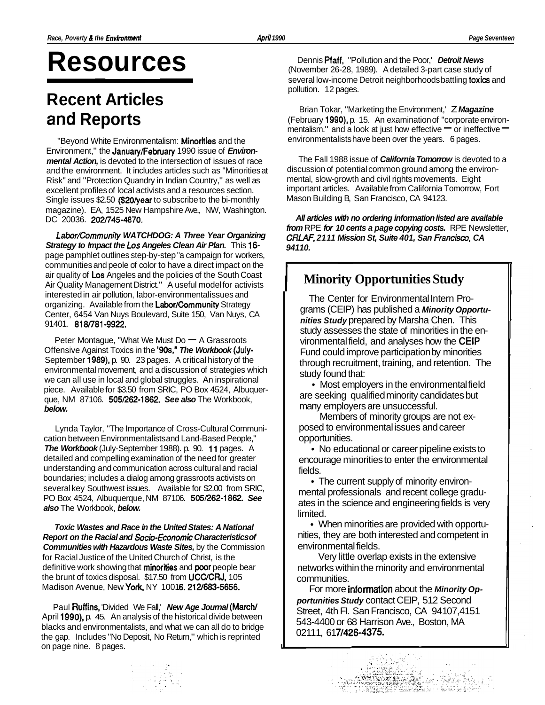## **Resources**

### **Recent Articles**  and Reports

"Beyond White Environmentalism: Minorities and the Environment," the JanuaryIFebruary 1990 issue of **Environmental Action,** is devoted to the intersection of issues of race and the environment. It includes articles such as "Minorities at Risk" and "Protection Quandry in Indian Country," as well as excellent profiles of local activists and a resources section. Single issues \$2.50 (\$20/year to subscribe to the bi-monthly magazine). EA, 1525 New Hampshire Ave., NW, Washington. DC 20036. 202/745-4870.

**Labor/Community WATCHDOG: A Three Year Organizing Strategy to Impact the Los Angeles Clean Air Plan.** This 16 page pamphlet outlines step-by-step "a campaign for workers, communities and peole of color to have a direct impact on the air quality of Los Angeles and the policies of the South Coast Air Quality Management District." A useful model for activists interested in air pollution, labor-environmental issues and organizing. Available from the Labor/Community Strategy Center, 6454 Van Nuys Boulevard, Suite 150, Van Nuys, CA 91401. 818/781-9922.

Peter Montague, "What We Must Do  $- A$  Grassroots Offensive Against Toxics in the '90s," **The Workbook** (July-September 1989), p. 90. 23 pages. A critical history of the environmental movement, and a discussion of strategies which we can all use in local and global struggles. An inspirational piece. Available for \$3.50 from SRIC, PO Box 4524, Albuquerque, NM 87106. 505/262-1862. See also The Workbook, **below.** 

Lynda Taylor, "The Importance of Cross-Cultural Communication between Environmentalists and Land-Based People," **The Workbook** (July-September 1988). p. 90. 11 pages. A detailed and compelling examination of the need for greater understanding and communication across cultural and racial boundaries; includes a dialog among grassroots activists on several key Southwest issues. Available for \$2.00 from SRIC, PO Box 4524, Albuquerque, NM 87106. 505/262-1862. See **also** The Workbook, **below.** 

**Toxic Wastes and Race in the United States: A National Report on the Racial and Socio-Economic Characteristics of Communities with Hazardous Waste Sites,** by the Commission for Racial Justice of the United Church of Christ, is the definitive work showing that minorities and poor people bear the brunt of toxics disposal. \$17.50 from UCC/CRJ, 105 Madison Avenue, New York, NY 10016. 212/683-5656.

Paul Ruffins, 'Divided We Fall,' New Age Journal (March/ April 1990), p. 45. An analysis of the historical divide between blacks and environmentalists, and what we can all do to bridge the gap. Includes "No Deposit, No Return," which is reprinted on page nine. 8 pages.

Dennis Pfaff, "Pollution and the Poor,' **Detroit News**  (November 26-28, 1989). A detailed 3-part case study of several low-income Detroit neighborhoods battling toxics and pollution. 12 pages.

Brian Tokar, "Marketing the Environment,' Z **Magazine**  (February 1990), p. 15. An examination of "corporate environ-Brian Tokar, "Marketing the Environment,"  $\angle$  Magazine<br>(February 1990), p. 15. An examination of "corporate environ-<br>mentalism." and a look at just how effective - or ineffective environmentalists have been over the years. 6 pages.

The Fall 1988 issue of **California Tomorrow** is devoted to a discussion of potential common ground among the environmental, slow-growth and civil rights movements. Eight important articles. Available from California Tomorrow, Fort Mason Building B, San Francisco, CA 94123.

**All articles with no ordering information listed are available from** RPE **for 10 cents a page copying costs.** RPE Newsletter, **CRLAF, 21 11 Mission St, Suite 401, San Francisco, CA 94110.** 

#### I **Minority Opportunities Study**

The Center for Environmental Intern Programs (CEIP) has published a **Minority Opportunities Study** prepared by Marsha Chen. This study assesses the state of minorities in the environmental field, and analyses how the CEIP Fund could improve participation by minorities through recruitment, training, and retention. The study found that:

• Most employers in the environmental field are seeking qualified minority candidates but many employers are unsuccessful.

Members of minority groups are not exposed to environmental issues and career opportunities.

No educational or career pipeline exists to encourage minorities to enter the environmental fields.

• The current supply of minority environmental professionals and recent college graduates in the science and engineering fields is very limited.

When minorities are provided with opportunities, they are both interested and competent in environmental fields.

Very little overlap exists in the extensive networks within the minority and environmental communities.

For more information about the **Minority Opportunities Study contact CEIP, 512 Second** Street, 4th Fl. San Francisco, CA 94107,4151 543-4400 or 68 Harrison Ave., Boston, MA 02111, 617/426-4375.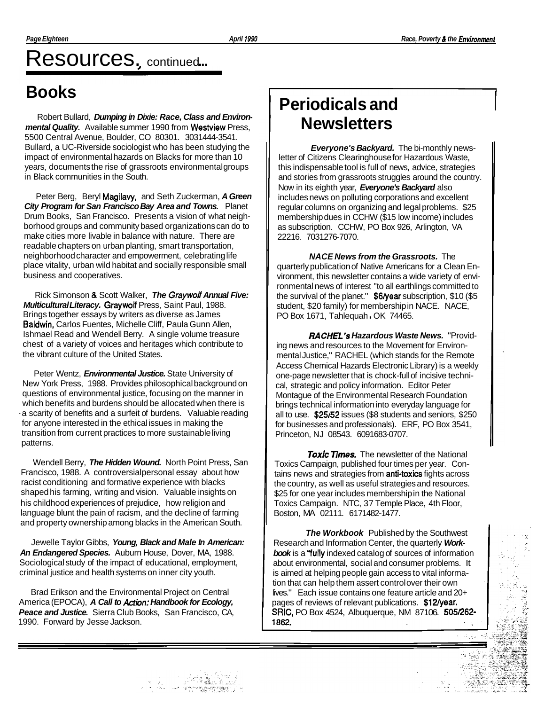### Resources, continued...

### **Books**

Robert Bullard, **Dumping in Dixie: Race, Class and Environmental Quality.** Available summer 1990 from Westview Press, 5500 Central Avenue, Boulder, CO 80301. 3031444-3541. Bullard, a UC-Riverside sociologist who has been studying the impact of environmental hazards on Blacks for more than 10 years, documents the rise of grassroots environmental groups in Black communities in the South.

Peter Berg, Beryl Magilavy, and Seth Zuckerman, **A Green City Program for San Francisco Bay Area and Towns.** Planet Drum Books, San Francisco. Presents a vision of what neighborhood groups and community based organizations can do to make cities more livable in balance with nature. There are readable chapters on urban planting, smart transportation, neighborhood character and empowerment, celebrating life place vitality, urban wild habitat and socially responsible small business and cooperatives.

Rick Simonson & Scott Walker, **The Graywolf Annual Five: Multicultural Literacy.** Graywolf Press, Saint Paul, 1988. Brings together essays by writers as diverse as James Baldwin, Carlos Fuentes, Michelle Cliff, Paula Gunn Allen, Ishmael Read and Wendell Berry. A single volume treasure chest of a variety of voices and heritages which contribute to the vibrant culture of the United States.

Peter Wentz, **Environmental Justice.** State University of New York Press, 1988. Provides philosophical background on questions of environmental justice, focusing on the manner in which benefits and burdens should be allocated when there is - a scarity of benefits and a surfeit of burdens. Valuable reading for anyone interested in the ethical issues in making the transition from current practices to more sustainable living patterns.

Wendell Berry, **The Hidden Wound.** North Point Press, San Francisco, 1988. A controversial personal essay about how racist conditioning and formative experience with blacks shaped his farming, writing and vision. Valuable insights on his childhood experiences of prejudice, how religion and language blunt the pain of racism, and the decline of farming and property ownership among blacks in the American South.

Jewelle Taylor Gibbs, Young, Black and Male In American: **An Endangered Species.** Auburn House, Dover, MA, 1988. Sociological study of the impact of educational, employment, criminal justice and health systems on inner city youth.

Brad Erikson and the Environmental Project on Central America (EPOCA), **A Call to Action: Handbook for Ecology, Peace and Justice.** Sierra Club Books, San Francisco, CA, 1990. Forward by Jesse Jackson.

### **Periodicals and Newsletters**

**Everyone's Backyard.** The bi-monthly newsletter of Citizens Clearinghouse for Hazardous Waste, this indispensable tool is full of news, advice, strategies and stories from grassroots struggles around the country. Now in its eighth year, **Everyone's Backyard** also includes news on polluting corporations and excellent regular columns on organizing and legal problems. \$25 membership dues in CCHW (\$15 low income) includes as subscription. CCHW, PO Box 926, Arlington, VA 22216. 7031276-7070.

**NACE News from the Grassroots.** The quarterly publication of Native Americans for a Clean Environment, this newsletter contains a wide variety of environmental news of interest "to all earthlings committed to the survival of the planet."  $$6/year$  subscription,  $$10$  (\$5 student, \$20 family) for membership in NACE. NACE, PO Box 1671, Tahlequah . OK 74465.

**RACHEL'S Hazardous Waste News.** "Providing news and resources to the Movement for Environmental Justice," RACHEL (which stands for the Remote Access Chemical Hazards Electronic Library) is a weekly one-page newsletter that is chock-full of incisive technical, strategic and policy information. Editor Peter Montague of the Environmental Research Foundation brings technical information into everyday language for all to use. \$2562 issues (\$8 students and seniors, \$250 for businesses and professionals). ERF, PO Box 3541, Princeton, NJ 08543. 6091683-0707.

**Toxic Times.** The newsletter of the National Toxics Campaign, published four times per year. Contains news and strategies from anti-toxics fights across the country, as well as useful strategies and resources. \$25 for one year includes membership in the National Toxics Campaign. NTC, 37 Temple Place, 4th Floor, Boston, MA 02111. 6171482-1477.

**The Workbook** Published by the Southwest Research and Information Center, the quarterly **Workbook** is a "fully indexed catalog of sources of information about environmental, social and consumer problems. It is aimed at helping people gain access to vital information that can help them assert control over their own lives." Each issue contains one feature article and 20+ pages of reviews of relevant publications. \$12/year. SRIC, PO Box 4524, Albuquerque, NM 87106. 505/262-1862.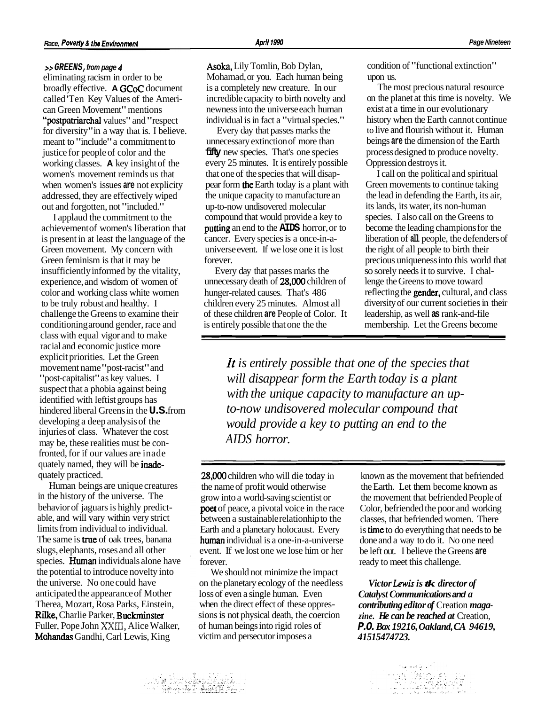#### >> **GREENS, from page 4**

eliminating racism in order to be broadly effective. **A** GCoC document called 'Ten Key Values of the American Green Movement" mentions "postpatriarchal values" and "respect for diversity" in a way that is. I believe. meant to "include" a commitment to justice for people of color and the working classes. **A** key insight of the women's movement reminds us that when women's issues **are** not explicity addressed, they are effectively wiped out and forgotten, not "included."

I applaud the commitment to the achievement of women's liberation that is present in at least the language of the Green movement. My concern with Green feminism is that it may be insufficiently informed by the vitality, experience, and wisdom of women of color and working class white women to be truly robust and healthy. I challenge the Greens to examine their conditioning around gender, race and class with equal vigor and to make racial and economic justice more explicit priorities. Let the Green movement name "post-racist" and "post-capitalist" as key values. I suspect that a phobia against being identified with leftist groups has hindered liberal Greens in the **U.S.** from developing a deep analysis of the injuries of class. Whatever the cost may be, these realities must be confronted, for if our values are inade quately named, they will be **inade**quately practiced.

Human beings are unique creatures in the history of the universe. The behavior of jaguars is highly predictable, and will vary within very strict limits from individual to individual. The same is **true** of oak trees, banana slugs, elephants, roses and all other species. Human individuals alone have the potential to introduce novelty into the universe. No one could have anticipated the appearance of Mother Therea, Mozart, Rosa Parks, Einstein, Rilke, Charlie Parker, Buckminster Fuller, Pope John XXIII, Alice Walker, Mohandas Gandhi, Carl Lewis, King

Asoka, Lily Tomlin, Bob Dylan, Mohamad, or you. Each human being is a completely new creature. In our incredible capacity to birth novelty and newness into the universe each human individual is in fact a "virtual species."

Every day that passes marks the unnecessary extinction of more than **fifty** new species. That's one species every 25 minutes. It is entirely possible that one of the species that will disappear form the Earth today is a plant with the unique capacity to manufacture an up-to-now undisovered molecular compound that would provide a key to putting an end to the **AIDS** horror, or to cancer. Every species is a once-in-auniverse event. If we lose one it is lost forever.

Every day that passes marks the unnecessary death of 28.000 children of hunger-related causes. That's 486 children every 25 minutes. Almost all of these children **are** People of Color. It is entirely possible that one the the

condition of "functional extinction" upon us.

The most precious natural resource on the planet at this time is novelty. We exist at a time in our evolutionary history when the Earth cannot continue to live and flourish without it. Human beings **are** the dimension of the Earth process designed to produce novelty. Oppression destroys it.

I call on the political and spiritual Green movements to continue taking the lead in defending the Earth, its air, its lands, its water, its non-human species. I also call on the Greens to become the leading champions for the liberation of **all** people, the defenders of the right of all people to birth their precious uniqueness into this world that so sorely needs it to survive. I challenge the Greens to move toward reflecting the gender, cultural, and class diversity of our current societies in their leadership, as well **as** rank-and-file membership. Let the Greens become

*It is entirely possible that one of the species that will disappear form the Earth today is a plant with the unique capacity to manufacture an upto-now undisovered molecular compound that would provide a key to putting an end to the AIDS horror.* 

28,000 children who will die today in the name of profit would otherwise grow into a world-saving scientist or poet of peace, a pivotal voice in the race between a sustainable relationhip to the Earth and a planetary holocaust. Every human individual is a one-in-a-universe event. If we lost one we lose him or her forever.

We should not minimize the impact on the planetary ecology of the needless loss of even a single human. Even when the direct effect of these oppressions is not physical death, the coercion of human beings into rigid roles of victim and persecutor imposes a

de Verde Verd*agen.*<br>De Carlo de Calar

known as the movement that befriended the Earth. Let them become known as the movement that befriended People of Color, befriended the poor and working classes, that befriended women. There is time to do everything that needs to be done and a way to do it. No one need be left out. I believe the Greens **are**  ready to meet this challenge.

*Victor* Lorris *is tk director of Catalyst Communications* **and** *a contributing editor of* Creation *magazine. He can be reached at* Creation, **P.O.** *Box 19216, Oakland, CA 94619, 41515474723.*